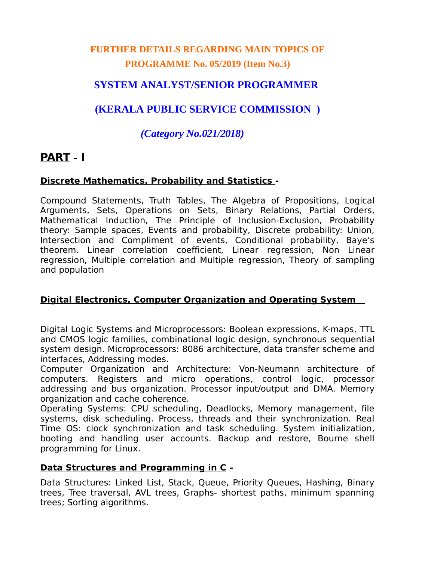## **FURTHER DETAILS REGARDING MAIN TOPICS OF PROGRAMME No. 05/2019 (Item No.3)**

## **SYSTEM ANALYST/SENIOR PROGRAMMER**

## **(KERALA PUBLIC SERVICE COMMISSION )**

## *(Category No.021/2018)*

# **PART – I**

### **Discrete Mathematics, Probability and Statistics -**

Compound Statements, Truth Tables, The Algebra of Propositions, Logical Arguments, Sets, Operations on Sets, Binary Relations, Partial Orders, Mathematical Induction, The Principle of Inclusion-Exclusion, Probability theory: Sample spaces, Events and probability, Discrete probability: Union, Intersection and Compliment of events, Conditional probability, Baye's theorem. Linear correlation coefficient, Linear regression, Non Linear regression, Multiple correlation and Multiple regression, Theory of sampling and population

### **Digital Electronics, Computer Organization and Operating System**

Digital Logic Systems and Microprocessors: Boolean expressions, K-maps, TTL and CMOS logic families, combinational logic design, synchronous sequential system design. Microprocessors: 8086 architecture, data transfer scheme and interfaces, Addressing modes.

Computer Organization and Architecture: Von-Neumann architecture of computers. Registers and micro operations, control logic, processor addressing and bus organization. Processor input/output and DMA. Memory organization and cache coherence.

Operating Systems: CPU scheduling, Deadlocks, Memory management, file systems, disk scheduling. Process, threads and their synchronization. Real Time OS: clock synchronization and task scheduling. System initialization, booting and handling user accounts. Backup and restore, Bourne shell programming for Linux.

### **Data Structures and Programming in C –**

Data Structures: Linked List, Stack, Queue, Priority Queues, Hashing, Binary trees, Tree traversal, AVL trees, Graphs- shortest paths, minimum spanning trees; Sorting algorithms.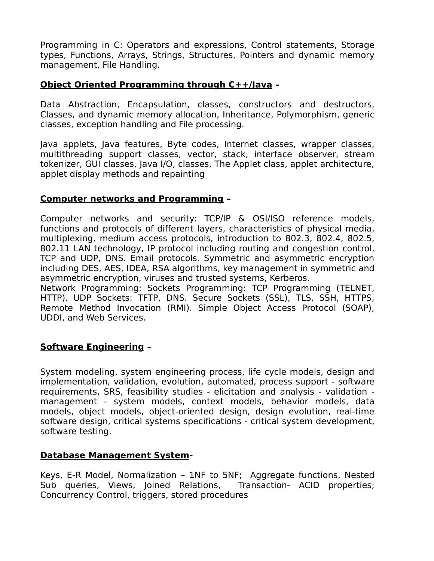Programming in C: Operators and expressions, Control statements, Storage types, Functions, Arrays, Strings, Structures, Pointers and dynamic memory management, File Handling.

#### **Object Oriented Programming through C++/Java –**

Data Abstraction, Encapsulation, classes, constructors and destructors, Classes, and dynamic memory allocation, Inheritance, Polymorphism, generic classes, exception handling and File processing.

Java applets, Java features, Byte codes, Internet classes, wrapper classes, multithreading support classes, vector, stack, interface observer, stream tokenizer, GUI classes, Java I/O, classes, The Applet class, applet architecture, applet display methods and repainting

#### **Computer networks and Programming –**

Computer networks and security: TCP/IP & OSI/ISO reference models, functions and protocols of different layers, characteristics of physical media, multiplexing, medium access protocols, introduction to 802.3, 802.4, 802.5, 802.11 LAN technology, IP protocol including routing and congestion control, TCP and UDP, DNS. Email protocols. Symmetric and asymmetric encryption including DES, AES, IDEA, RSA algorithms, key management in symmetric and asymmetric encryption, viruses and trusted systems, Kerberos.

Network Programming: Sockets Programming: TCP Programming (TELNET, HTTP). UDP Sockets: TFTP, DNS. Secure Sockets (SSL), TLS, SSH, HTTPS, Remote Method Invocation (RMI). Simple Object Access Protocol (SOAP), UDDI, and Web Services.

### **Software Engineering –**

System modeling, system engineering process, life cycle models, design and implementation, validation, evolution, automated, process support - software requirements, SRS, feasibility studies - elicitation and analysis - validation management - system models, context models, behavior models, data models, object models, object-oriented design, design evolution, real-time software design, critical systems specifications - critical system development, software testing.

#### **Database Management System-**

Keys, E-R Model, Normalization – 1NF to 5NF; Aggregate functions, Nested Sub queries, Views, Joined Relations, Transaction- ACID properties; Concurrency Control, triggers, stored procedures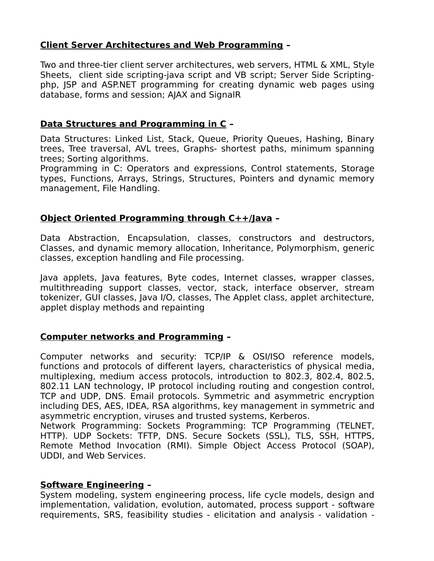### **Client Server Architectures and Web Programming –**

Two and three-tier client server architectures, web servers, HTML & XML, Style Sheets, client side scripting-java script and VB script; Server Side Scriptingphp, JSP and ASP.NET programming for creating dynamic web pages using database, forms and session; AJAX and SignalR

### **Data Structures and Programming in C –**

Data Structures: Linked List, Stack, Queue, Priority Queues, Hashing, Binary trees, Tree traversal, AVL trees, Graphs- shortest paths, minimum spanning trees; Sorting algorithms.

Programming in C: Operators and expressions, Control statements, Storage types, Functions, Arrays, Strings, Structures, Pointers and dynamic memory management, File Handling.

### **Object Oriented Programming through C++/Java –**

Data Abstraction, Encapsulation, classes, constructors and destructors, Classes, and dynamic memory allocation, Inheritance, Polymorphism, generic classes, exception handling and File processing.

Java applets, Java features, Byte codes, Internet classes, wrapper classes, multithreading support classes, vector, stack, interface observer, stream tokenizer, GUI classes, Java I/O, classes, The Applet class, applet architecture, applet display methods and repainting

### **Computer networks and Programming –**

Computer networks and security: TCP/IP & OSI/ISO reference models, functions and protocols of different layers, characteristics of physical media, multiplexing, medium access protocols, introduction to 802.3, 802.4, 802.5, 802.11 LAN technology, IP protocol including routing and congestion control, TCP and UDP, DNS. Email protocols. Symmetric and asymmetric encryption including DES, AES, IDEA, RSA algorithms, key management in symmetric and asymmetric encryption, viruses and trusted systems, Kerberos.

Network Programming: Sockets Programming: TCP Programming (TELNET, HTTP). UDP Sockets: TFTP, DNS. Secure Sockets (SSL), TLS, SSH, HTTPS, Remote Method Invocation (RMI). Simple Object Access Protocol (SOAP), UDDI, and Web Services.

### **Software Engineering –**

System modeling, system engineering process, life cycle models, design and implementation, validation, evolution, automated, process support - software requirements, SRS, feasibility studies - elicitation and analysis - validation -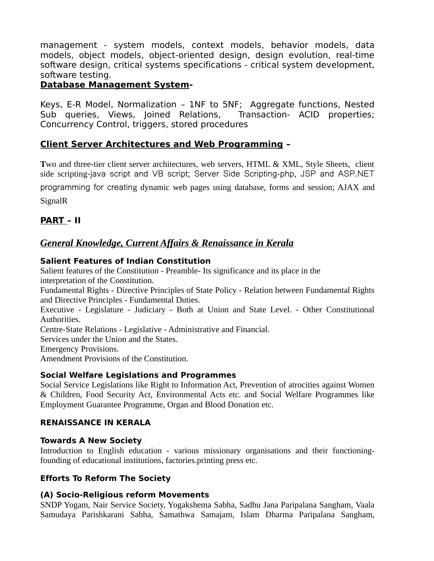management - system models, context models, behavior models, data models, object models, object-oriented design, design evolution, real-time software design, critical systems specifications - critical system development, software testing.

#### **Database Management System-**

Keys, E-R Model, Normalization – 1NF to 5NF; Aggregate functions, Nested Sub queries, Views, Joined Relations, Transaction- ACID properties; Concurrency Control, triggers, stored procedures

### **Client Server Architectures and Web Programming –**

**T**wo and three-tier client server architectures, web servers, HTML & XML, Style Sheets, client side scripting-java script and VB script; Server Side Scripting-php, JSP and ASP.NET programming for creating dynamic web pages using database, forms and session; AJAX and

SignalR

#### **PART – II**

### *General Knowledge, Current Affairs & Renaissance in Kerala*

#### **Salient Features of Indian Constitution**

Salient features of the Constitution - Preamble- Its significance and its place in the interpretation of the Constitution.

Fundamental Rights - Directive Principles of State Policy - Relation between Fundamental Rights and Directive Principles - Fundamental Duties.

Executive - Legislature - Judiciary - Both at Union and State Level. - Other Constitutional Authorities.

Centre-State Relations - Legislative - Administrative and Financial.

Services under the Union and the States.

Emergency Provisions.

Amendment Provisions of the Constitution.

#### **Social Welfare Legislations and Programmes**

Social Service Legislations like Right to Information Act, Prevention of atrocities against Women & Children, Food Security Act, Environmental Acts etc. and Social Welfare Programmes like Employment Guarantee Programme, Organ and Blood Donation etc.

#### **RENAISSANCE IN KERALA**

#### **Towards A New Society**

Introduction to English education - various missionary organisations and their functioningfounding of educational institutions, factories.printing press etc.

#### **Efforts To Reform The Society**

#### **(A) Socio-Religious reform Movements**

SNDP Yogam, Nair Service Society, Yogakshema Sabha, Sadhu Jana Paripalana Sangham, Vaala Samudaya Parishkarani Sabha, Samathwa Samajam, Islam Dharma Paripalana Sangham,